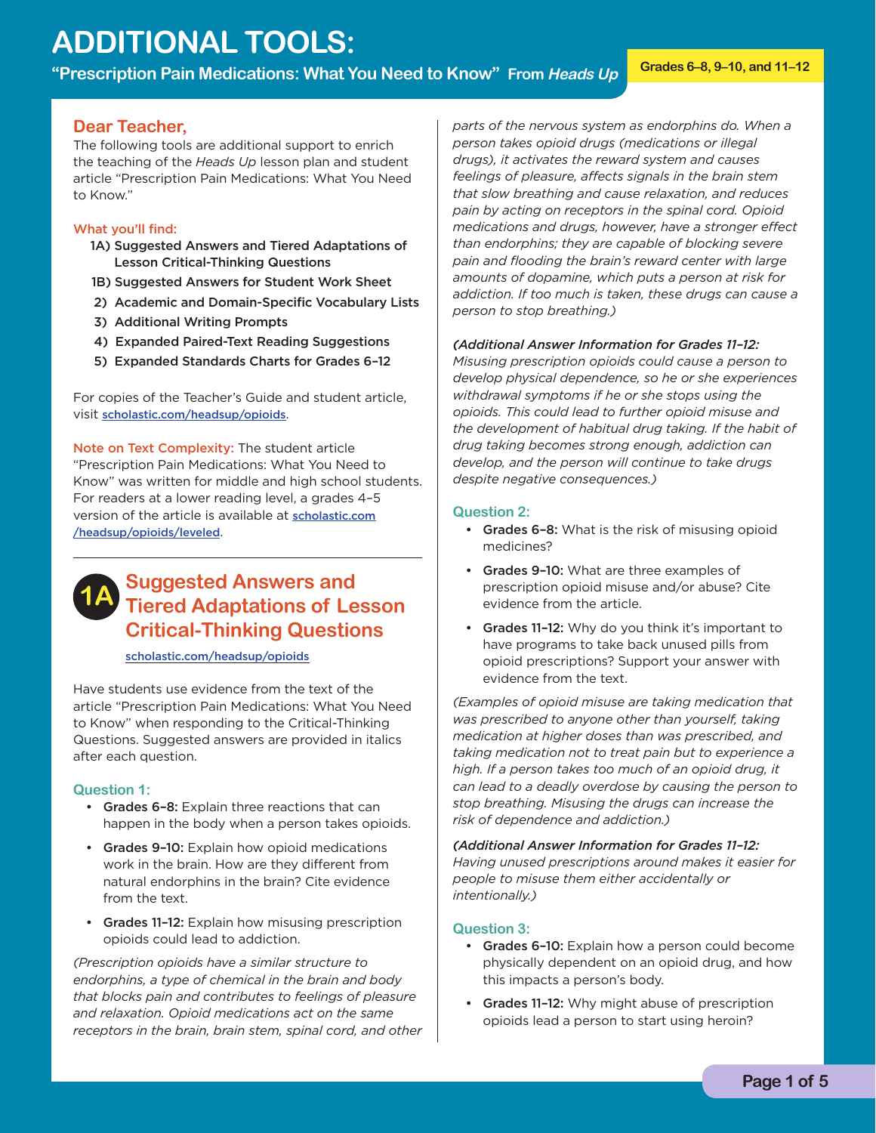# **ADDITIONAL TOOLS:**

**"Prescription Pain Medications: What You Need to Know" From Heads Up Grades 6–8, 9–10, and 11–12** 

#### **Dear Teacher,**

The following tools are additional support to enrich the teaching of the *Heads Up* lesson plan and student article "Prescription Pain Medications: What You Need to Know."

#### What you'll find:

- 1A) Suggested Answers and Tiered Adaptations of Lesson Critical-Thinking Questions
- 1B) Suggested Answers for Student Work Sheet
- 2) Academic and Domain-Specific Vocabulary Lists
- 3) Additional Writing Prompts
- 4) Expanded Paired-Text Reading Suggestions
- 5) Expanded Standards Charts for Grades 6-12

For copies of the Teacher's Guide and student article, visit [scholastic.com/headsup/opioids](http://scholastic.com/headsup/opioids).

Note on Text Complexity: The student article "Prescription Pain Medications: What You Need to Know" was written for middle and high school students. For readers at a lower reading level, a grades 4–5 [version of the article is available at](http://scholastic.com/headsup/opioids/leveled) scholastic.com /headsup/opioids/leveled.

# **1A Suggested Answers and Tiered Adaptations of Lesson Critical-Thinking Questions**

[scholastic.com/headsup/opioids](http://scholastic.com/headsup/opioids)

Have students use evidence from the text of the article "Prescription Pain Medications: What You Need to Know" when responding to the Critical-Thinking Questions. Suggested answers are provided in italics after each question.

#### **Question 1:**

- • Grades 6–8: Explain three reactions that can happen in the body when a person takes opioids.
- Grades 9-10: Explain how opioid medications work in the brain. How are they different from natural endorphins in the brain? Cite evidence from the text.
- Grades 11-12: Explain how misusing prescription opioids could lead to addiction.

*(Prescription opioids have a similar structure to endorphins, a type of chemical in the brain and body that blocks pain and contributes to feelings of pleasure and relaxation. Opioid medications act on the same receptors in the brain, brain stem, spinal cord, and other*  *parts of the nervous system as endorphins do. When a person takes opioid drugs (medications or illegal drugs), it activates the reward system and causes feelings of pleasure, affects signals in the brain stem that slow breathing and cause relaxation, and reduces pain by acting on receptors in the spinal cord. Opioid medications and drugs, however, have a stronger effect than endorphins; they are capable of blocking severe pain and flooding the brain's reward center with large amounts of dopamine, which puts a person at risk for addiction. If too much is taken, these drugs can cause a person to stop breathing.)* 

#### *(Additional Answer Information for Grades 11–12:*

*Misusing prescription opioids could cause a person to develop physical dependence, so he or she experiences withdrawal symptoms if he or she stops using the opioids. This could lead to further opioid misuse and the development of habitual drug taking. If the habit of drug taking becomes strong enough, addiction can develop, and the person will continue to take drugs despite negative consequences.)* 

#### **Question 2:**

- Grades 6-8: What is the risk of misusing opioid medicines?
- Grades 9-10: What are three examples of prescription opioid misuse and/or abuse? Cite evidence from the article.
- Grades 11-12: Why do you think it's important to have programs to take back unused pills from opioid prescriptions? Support your answer with evidence from the text.

*(Examples of opioid misuse are taking medication that was prescribed to anyone other than yourself, taking medication at higher doses than was prescribed, and taking medication not to treat pain but to experience a high. If a person takes too much of an opioid drug, it can lead to a deadly overdose by causing the person to stop breathing. Misusing the drugs can increase the risk of dependence and addiction.)* 

 *intentionally.) (Additional Answer Information for Grades 11–12: Having unused prescriptions around makes it easier for people to misuse them either accidentally or* 

#### **Question 3:**

- Grades 6-10: Explain how a person could become physically dependent on an opioid drug, and how this impacts a person's body.
- Grades 11-12: Why might abuse of prescription opioids lead a person to start using heroin?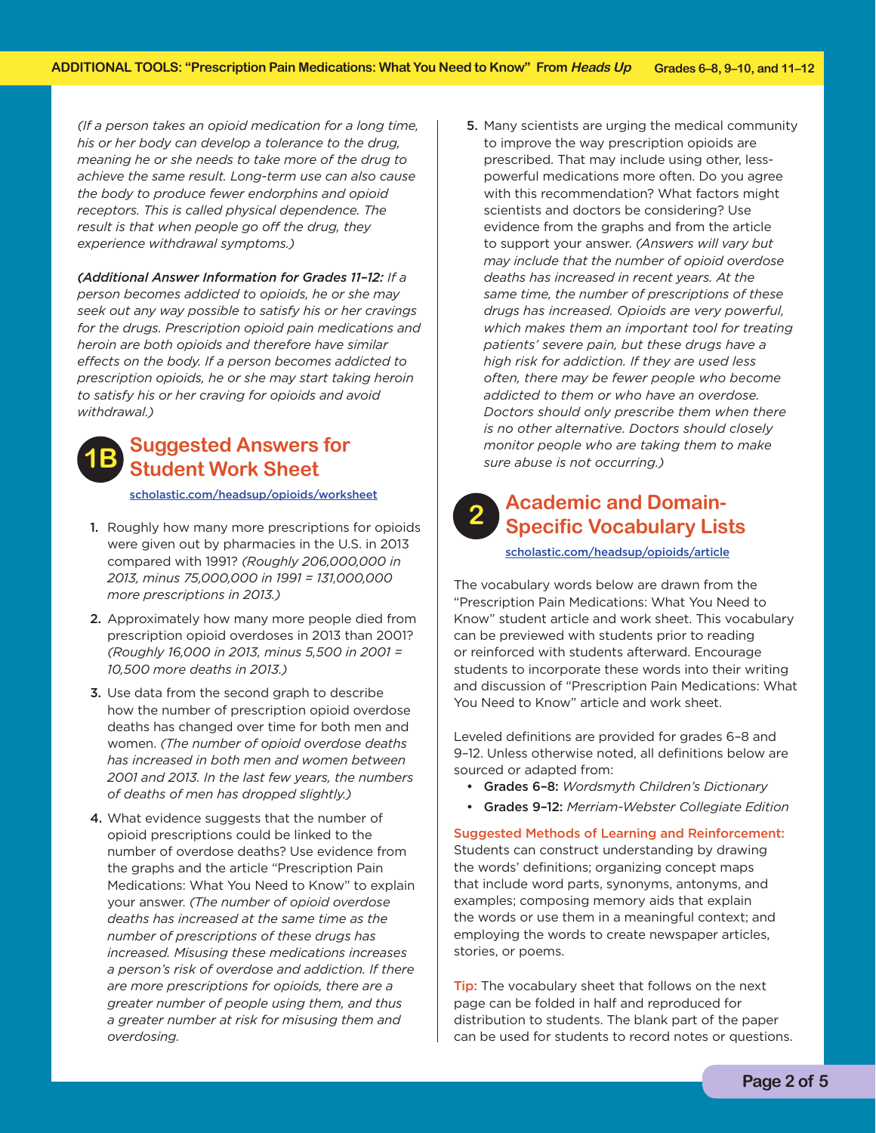*(If a person takes an opioid medication for a long time, his or her body can develop a tolerance to the drug, meaning he or she needs to take more of the drug to achieve the same result. Long-term use can also cause the body to produce fewer endorphins and opioid receptors. This is called physical dependence. The result is that when people go off the drug, they experience withdrawal symptoms.)* 

*(Additional Answer Information for Grades 11–12: If a person becomes addicted to opioids, he or she may seek out any way possible to satisfy his or her cravings for the drugs. Prescription opioid pain medications and heroin are both opioids and therefore have similar effects on the body. If a person becomes addicted to prescription opioids, he or she may start taking heroin to satisfy his or her craving for opioids and avoid withdrawal.)* 

### **Suggested Answers for Student Work Sheet**

[scholastic.com/headsup/opioids/worksheet](http://scholastic.com/headsup/opioids/worksheet)

- 1. Roughly how many more prescriptions for opioids were given out by pharmacies in the U.S. in 2013 compared with 1991? *(Roughly 206,000,000 in 2013, minus 75,000,000 in 1991 = 131,000,000 more prescriptions in 2013.)*
- 2. Approximately how many more people died from prescription opioid overdoses in 2013 than 2001? *(Roughly 16,000 in 2013, minus 5,500 in 2001 = 10,500 more deaths in 2013.)*
- 3. Use data from the second graph to describe how the number of prescription opioid overdose deaths has changed over time for both men and women. *(The number of opioid overdose deaths has increased in both men and women between 2001 and 2013. In the last few years, the numbers of deaths of men has dropped slightly.)*
- 4. What evidence suggests that the number of opioid prescriptions could be linked to the number of overdose deaths? Use evidence from the graphs and the article "Prescription Pain Medications: What You Need to Know" to explain your answer. *(The number of opioid overdose deaths has increased at the same time as the number of prescriptions of these drugs has increased. Misusing these medications increases a person's risk of overdose and addiction. If there are more prescriptions for opioids, there are a greater number of people using them, and thus a greater number at risk for misusing them and overdosing.*

5. Many scientists are urging the medical community to improve the way prescription opioids are prescribed. That may include using other, lesspowerful medications more often. Do you agree with this recommendation? What factors might scientists and doctors be considering? Use evidence from the graphs and from the article to support your answer. *(Answers will vary but may include that the number of opioid overdose deaths has increased in recent years. At the same time, the number of prescriptions of these drugs has increased. Opioids are very powerful, which makes them an important tool for treating patients' severe pain, but these drugs have a high risk for addiction. If they are used less often, there may be fewer people who become addicted to them or who have an overdose. Doctors should only prescribe them when there is no other alternative. Doctors should closely monitor people who are taking them to make sure abuse is not occurring.)* 

## **Academic and Domain-Specific Vocabulary Lists**

[scholastic.com/headsup/opioids/article](http://scholastic.com/headsup/opioids/article)

The vocabulary words below are drawn from the "Prescription Pain Medications: What You Need to Know" student article and work sheet. This vocabulary can be previewed with students prior to reading or reinforced with students afterward. Encourage students to incorporate these words into their writing and discussion of "Prescription Pain Medications: What You Need to Know" article and work sheet.

Leveled definitions are provided for grades 6–8 and 9–12. Unless otherwise noted, all definitions below are sourced or adapted from:

- • Grades 6–8: *Wordsmyth Children's Dictionary*
- • Grades 9–12: *Merriam-Webster Collegiate Edition*

 Suggested Methods of Learning and Reinforcement: Students can construct understanding by drawing the words' definitions; organizing concept maps that include word parts, synonyms, antonyms, and examples; composing memory aids that explain the words or use them in a meaningful context; and employing the words to create newspaper articles, stories, or poems.

**Tip:** The vocabulary sheet that follows on the next page can be folded in half and reproduced for distribution to students. The blank part of the paper can be used for students to record notes or questions.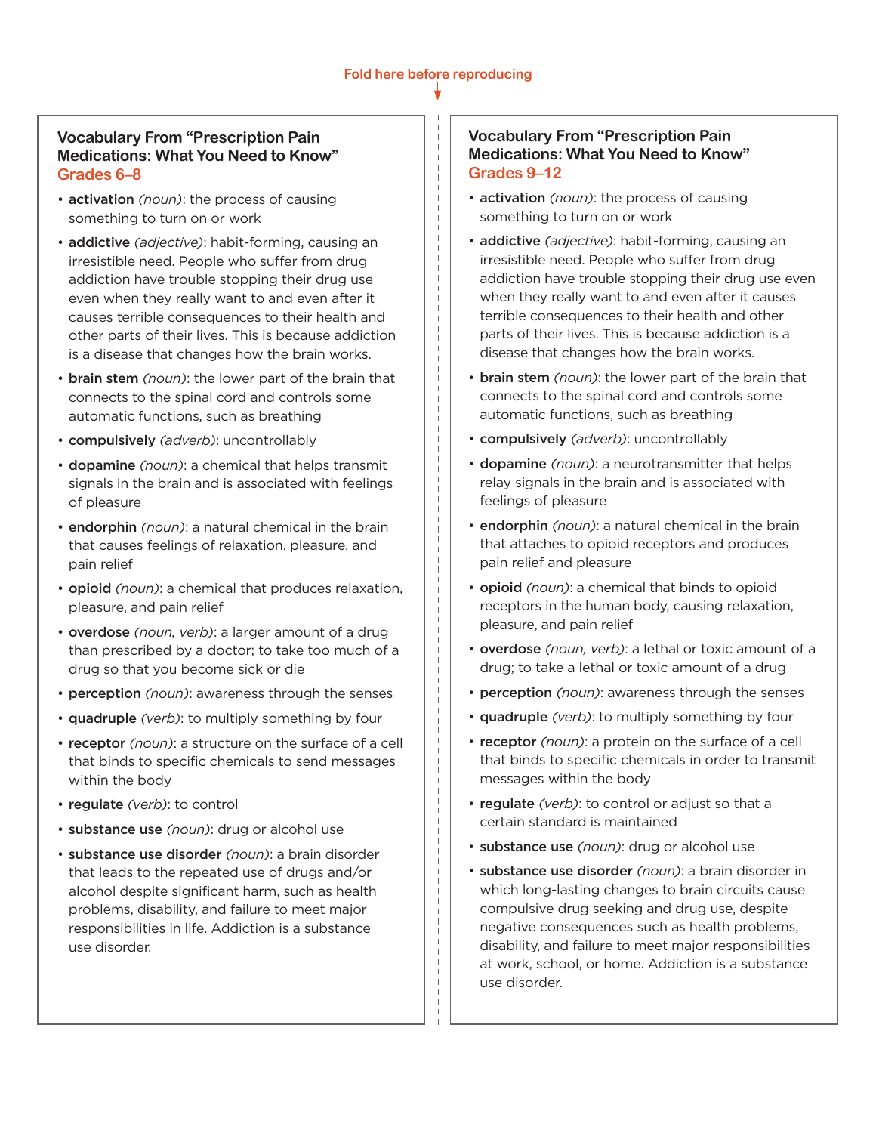### **Vocabulary From "Prescription Pain Medications: What You Need to Know" Grades 6–8**

- **activation** (noun): the process of causing something to turn on or work
- • addictive *(adjective)*: habit-forming, causing an irresistible need. People who suffer from drug addiction have trouble stopping their drug use even when they really want to and even after it causes terrible consequences to their health and other parts of their lives. This is because addiction is a disease that changes how the brain works.
- **brain stem** (noun): the lower part of the brain that connects to the spinal cord and controls some automatic functions, such as breathing
- • compulsively *(adverb)*: uncontrollably
- dopamine *(noun)*: a chemical that helps transmit signals in the brain and is associated with feelings of pleasure
- endorphin *(noun)*: a natural chemical in the brain that causes feelings of relaxation, pleasure, and pain relief
- • opioid *(noun)*: a chemical that produces relaxation, pleasure, and pain relief
- **overdose** (noun, verb): a larger amount of a drug than prescribed by a doctor; to take too much of a drug so that you become sick or die
- **perception** (noun): awareness through the senses
- **quadruple** *(verb)*: to multiply something by four
- receptor *(noun)*: a structure on the surface of a cell that binds to specific chemicals to send messages within the body
- • regulate *(verb)*: to control
- • substance use *(noun)*: drug or alcohol use
- • substance use disorder *(noun)*: a brain disorder that leads to the repeated use of drugs and/or alcohol despite significant harm, such as health problems, disability, and failure to meet major responsibilities in life. Addiction is a substance use disorder.

### **Vocabulary From "Prescription Pain Medications: What You Need to Know" Grades 9–12**

- **activation** (noun): the process of causing something to turn on or work
- **addictive** *(adjective)*: habit-forming, causing an irresistible need. People who suffer from drug addiction have trouble stopping their drug use even when they really want to and even after it causes terrible consequences to their health and other parts of their lives. This is because addiction is a disease that changes how the brain works.
- • brain stem *(noun)*: the lower part of the brain that connects to the spinal cord and controls some automatic functions, such as breathing
- • compulsively *(adverb)*: uncontrollably
- **dopamine** (noun): a neurotransmitter that helps relay signals in the brain and is associated with feelings of pleasure
- endorphin *(noun)*: a natural chemical in the brain that attaches to opioid receptors and produces pain relief and pleasure
- **opioid** (noun): a chemical that binds to opioid receptors in the human body, causing relaxation, pleasure, and pain relief
- **overdose** (noun, verb): a lethal or toxic amount of a drug; to take a lethal or toxic amount of a drug
- perception (noun): awareness through the senses
- **quadruple** *(verb)*: to multiply something by four
- receptor (noun): a protein on the surface of a cell that binds to specific chemicals in order to transmit messages within the body
- regulate *(verb)*: to control or adjust so that a certain standard is maintained
- • substance use *(noun)*: drug or alcohol use
- • substance use disorder *(noun)*: a brain disorder in which long-lasting changes to brain circuits cause compulsive drug seeking and drug use, despite negative consequences such as health problems, disability, and failure to meet major responsibilities at work, school, or home. Addiction is a substance use disorder.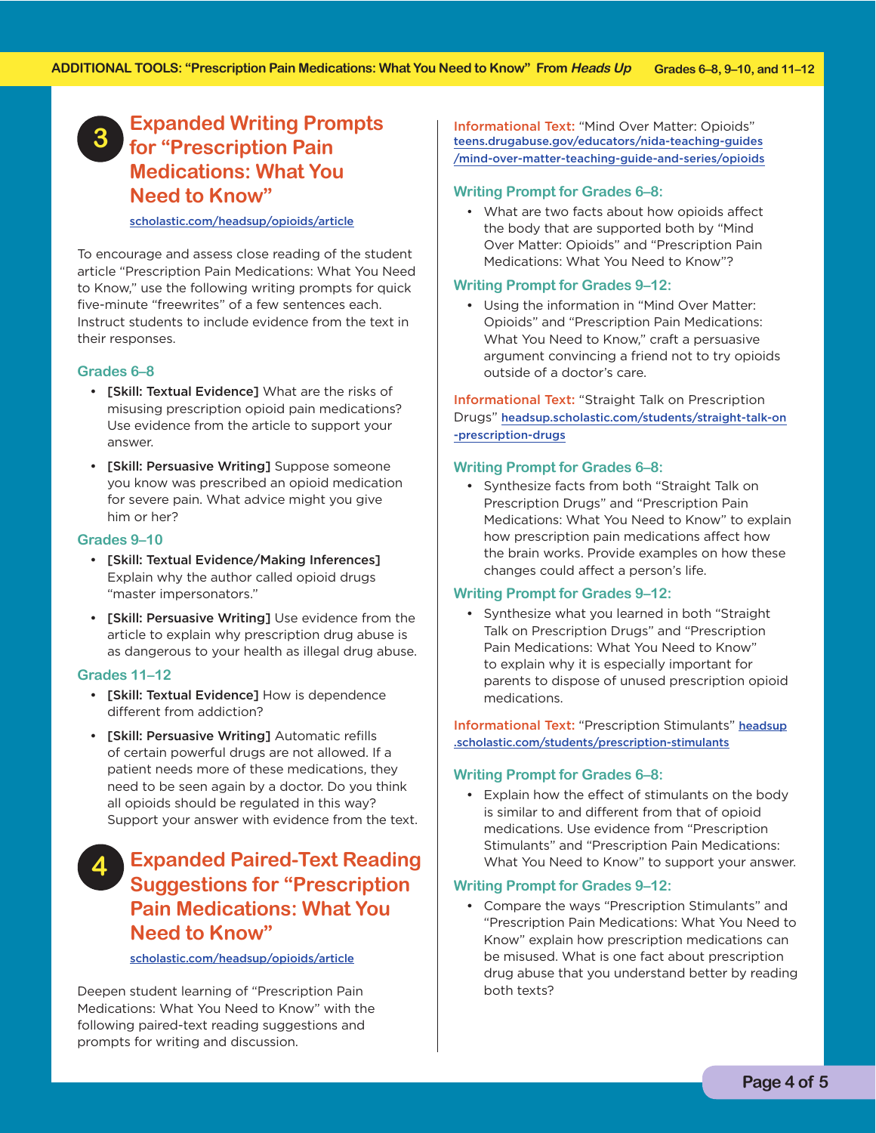### **Expanded Writing Prompts for "Prescription Pain 3 Medications: What You Need to Know"**

#### [scholastic.com/headsup/opioids/article](http://scholastic.com/headsup/opioids/article)

To encourage and assess close reading of the student article "Prescription Pain Medications: What You Need to Know," use the following writing prompts for quick five-minute "freewrites" of a few sentences each. Instruct students to include evidence from the text in their responses.

#### **Grades 6–8**

- [Skill: Textual Evidence] What are the risks of misusing prescription opioid pain medications? Use evidence from the article to support your answer.
- • [Skill: Persuasive Writing] Suppose someone you know was prescribed an opioid medication for severe pain. What advice might you give him or her?

#### **Grades 9–10**

- • [Skill: Textual Evidence/Making Inferences] Explain why the author called opioid drugs "master impersonators."
- • [Skill: Persuasive Writing] Use evidence from the article to explain why prescription drug abuse is as dangerous to your health as illegal drug abuse.

#### **Grades 11–12**

- [Skill: Textual Evidence] How is dependence different from addiction?
- [Skill: Persuasive Writing] Automatic refills of certain powerful drugs are not allowed. If a patient needs more of these medications, they need to be seen again by a doctor. Do you think all opioids should be regulated in this way? Support your answer with evidence from the text.

### **Expanded Paired-Text Reading 4 Suggestions for "Prescription Pain Medications: What You Need to Know"**

[scholastic.com/headsup/opioids/article](http://scholastic.com/headsup/opioids/article)

Deepen student learning of "Prescription Pain Medications: What You Need to Know" with the following paired-text reading suggestions and prompts for writing and discussion.

Informational Text: "Mind Over Matter: Opioids" teens.drugabuse.gov/educators/nida-teaching-guides [/mind-over-matter-teaching-guide-and-series/opioids](http://teens.drugabuse.gov/educators/nida-teaching-guides/mind-over-matter-teaching-guide-and-series/opioids)

#### **Writing Prompt for Grades 6–8:**

 • What are two facts about how opioids affect the body that are supported both by "Mind Over Matter: Opioids" and "Prescription Pain Medications: What You Need to Know"?

#### **Writing Prompt for Grades 9–12:**

• Using the information in "Mind Over Matter: Opioids" and "Prescription Pain Medications: What You Need to Know," craft a persuasive argument convincing a friend not to try opioids outside of a doctor's care.

 Informational Text: "Straight Talk on Prescription Drugs" [headsup.scholastic.com/students/straight-talk-on](http://headsup.scholastic.com/students/straight-talk-on-prescription-drugs) -prescription-drugs

#### **Writing Prompt for Grades 6–8:**

• Synthesize facts from both "Straight Talk on Prescription Drugs" and "Prescription Pain Medications: What You Need to Know" to explain how prescription pain medications affect how the brain works. Provide examples on how these changes could affect a person's life.

#### **Writing Prompt for Grades 9–12:**

• Synthesize what you learned in both "Straight Talk on Prescription Drugs" and "Prescription Pain Medications: What You Need to Know" to explain why it is especially important for parents to dispose of unused prescription opioid medications.

Informational Text: "Prescription Stimulants" headsup [.scholastic.com/students/prescription-stimulants](http://headsup.scholastic.com/students/prescription-stimulants)

#### **Writing Prompt for Grades 6–8:**

• Explain how the effect of stimulants on the body is similar to and different from that of opioid medications. Use evidence from "Prescription Stimulants" and "Prescription Pain Medications: What You Need to Know" to support your answer.

#### **Writing Prompt for Grades 9–12:**

 both texts? • Compare the ways "Prescription Stimulants" and "Prescription Pain Medications: What You Need to Know" explain how prescription medications can be misused. What is one fact about prescription drug abuse that you understand better by reading